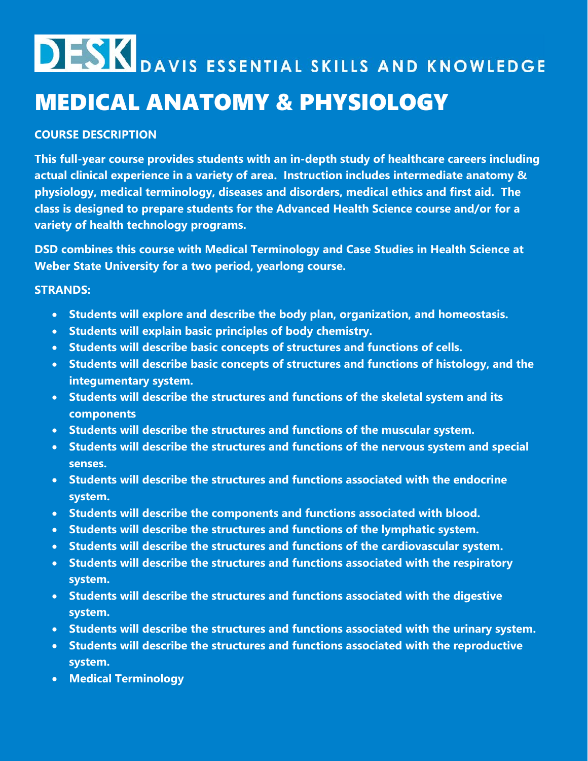## **DESK** DAVIS ESSENTIAL SKILLS AND KNOWLEDGE MEDICAL ANATOMY & PHYSIOLOGY

### **COURSE DESCRIPTION**

**This full-year course provides students with an in-depth study of healthcare careers including actual clinical experience in a variety of area. Instruction includes intermediate anatomy & physiology, medical terminology, diseases and disorders, medical ethics and first aid. The class is designed to prepare students for the Advanced Health Science course and/or for a variety of health technology programs.**

**DSD combines this course with Medical Terminology and Case Studies in Health Science at Weber State University for a two period, yearlong course.**

#### **STRANDS:**

- **Students will explore and describe the body plan, organization, and homeostasis.**
- **Students will explain basic principles of body chemistry.**
- **Students will describe basic concepts of structures and functions of cells.**
- **Students will describe basic concepts of structures and functions of histology, and the integumentary system.**
- **Students will describe the structures and functions of the skeletal system and its components**
- **Students will describe the structures and functions of the muscular system.**
- **Students will describe the structures and functions of the nervous system and special senses.**
- **Students will describe the structures and functions associated with the endocrine system.**
- **Students will describe the components and functions associated with blood.**
- **Students will describe the structures and functions of the lymphatic system.**
- **Students will describe the structures and functions of the cardiovascular system.**
- **Students will describe the structures and functions associated with the respiratory system.**
- **Students will describe the structures and functions associated with the digestive system.**
- **Students will describe the structures and functions associated with the urinary system.**
- **Students will describe the structures and functions associated with the reproductive system.**
- **Medical Terminology**